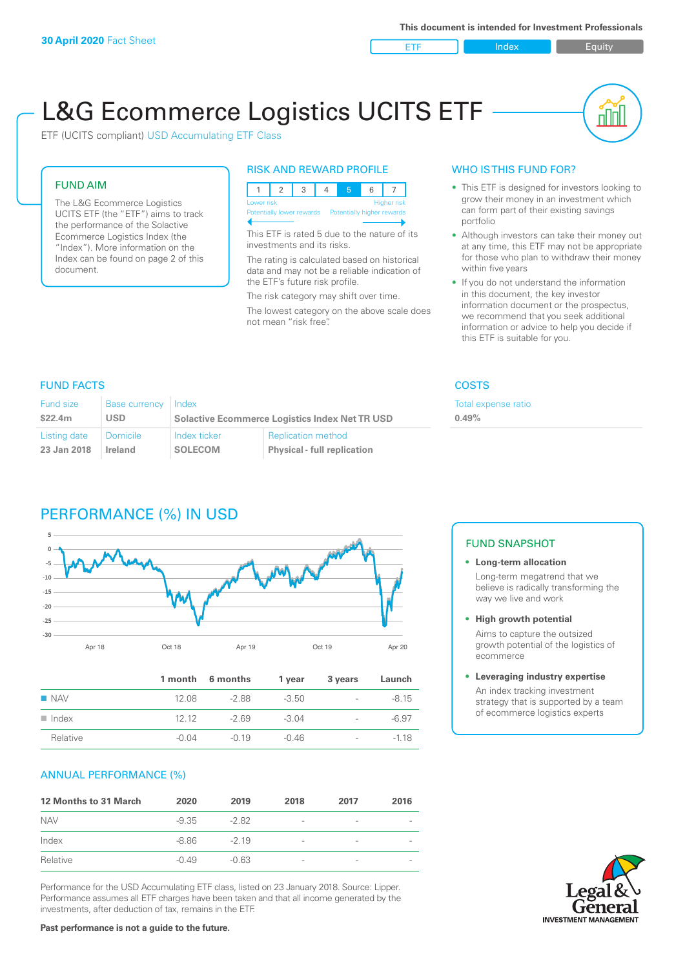ETF Index Builty

nn

# L&G Ecommerce Logistics UCITS ETF

ETF (UCITS compliant) USD Accumulating ETF Class

### FUND AIM

The L&G Ecommerce Logistics UCITS ETF (the "ETF") aims to track the performance of the Solactive Ecommerce Logistics Index (the "Index"). More information on the Index can be found on page 2 of this document.

### RISK AND REWARD PROFILE



This ETF is rated 5 due to the nature of its investments and its risks.

The rating is calculated based on historical data and may not be a reliable indication of the ETF's future risk profile.

The risk category may shift over time. The lowest category on the above scale does not mean "risk free".

### WHO IS THIS FUND FOR?

- This ETF is designed for investors looking to grow their money in an investment which can form part of their existing savings portfolio
- Although investors can take their money out at any time, this ETF may not be appropriate for those who plan to withdraw their money within five years
- If you do not understand the information in this document, the key investor information document or the prospectus, we recommend that you seek additional information or advice to help you decide if this ETF is suitable for you.

Total expense ratio

### FUND FACTS COSTS

| Fund size    | <b>Base currency</b> | Index                                                 |                                    | Total e: |
|--------------|----------------------|-------------------------------------------------------|------------------------------------|----------|
| \$22.4m      | USD                  | <b>Solactive Ecommerce Logistics Index Net TR USD</b> |                                    | 0.49%    |
| Listing date | Domicile             | Index ticker                                          | <b>Replication method</b>          |          |
| 23 Jan 2018  | Ireland              | <b>SOLECOM</b>                                        | <b>Physical - full replication</b> |          |

### PERFORMANCE (%) IN USD



|                      |         | 1 month 6 months | 1 year  | 3 years                  | Launch  |
|----------------------|---------|------------------|---------|--------------------------|---------|
| $\blacksquare$ NAV   | 12.08   | -2.88            | $-3.50$ | $\overline{\phantom{a}}$ | $-8.15$ |
| $\blacksquare$ Index | 12.12   | $-269$           | $-3.04$ | $\overline{\phantom{0}}$ | $-6.97$ |
| Relative             | $-0.04$ | $-0.19$          | $-0.46$ | $\overline{\phantom{a}}$ | $-118$  |

### ANNUAL PERFORMANCE (%)

| <b>12 Months to 31 March</b> | 2020    | 2019    | 2018                     | 2017                     | 2016 |
|------------------------------|---------|---------|--------------------------|--------------------------|------|
| <b>NAV</b>                   | $-9.35$ | $-282$  | $\overline{\phantom{a}}$ | -                        |      |
| Index                        | -8.86   | $-219$  | $\overline{\phantom{a}}$ | $\overline{\phantom{0}}$ |      |
| Relative                     | $-0.49$ | $-0.63$ | $\overline{\phantom{a}}$ | $\qquad \qquad$          |      |

Performance for the USD Accumulating ETF class, listed on 23 January 2018. Source: Lipper. Performance assumes all ETF charges have been taken and that all income generated by the investments, after deduction of tax, remains in the ETF.

### FUND SNAPSHOT

**• Long-term allocation** Long-term megatrend that we believe is radically transforming the way we live and work

**• High growth potential**

Aims to capture the outsized growth potential of the logistics of ecommerce

#### **• Leveraging industry expertise**

An index tracking investment strategy that is supported by a team of ecommerce logistics experts

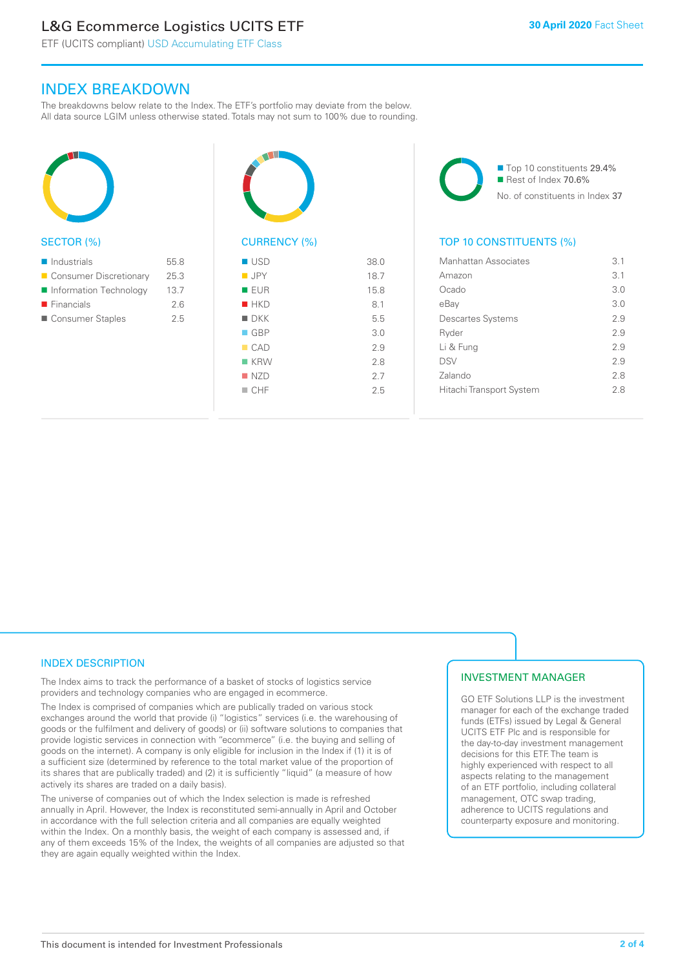### L&G Ecommerce Logistics UCITS ETF

ETF (UCITS compliant) USD Accumulating ETF Class

### INDEX BREAKDOWN

The breakdowns below relate to the Index. The ETF's portfolio may deviate from the below. All data source LGIM unless otherwise stated. Totals may not sum to 100% due to rounding.



### SECTOR (%)

| $\blacksquare$ Industrials | 55.8 |
|----------------------------|------|
| ■ Consumer Discretionary   | 25.3 |
| ■ Information Technology   | 13.7 |
| $\blacksquare$ Financials  | 2.6  |
| ■ Consumer Staples         | 25   |



## CURRENCY (%)

| $\blacksquare$ USD | 38.0 |
|--------------------|------|
| <b>JPY</b>         | 18.7 |
| <b>EUR</b>         | 15.8 |
| $H$ HKD            | 8.1  |
| $\blacksquare$ DKK | 5.5  |
| $\Box$ GBP         | 3.0  |
| CAD                | 2.9  |
| $K$ KRW            | 2.8  |
| NZD                | 2.7  |
| $\Box$ CHF         | 2.5  |
|                    |      |

■ Top 10 constituents 29.4% Rest of Index 70.6% No. of constituents in Index 37

### TOP 10 CONSTITUENTS (%)

| Manhattan Associates     | 3.1 |
|--------------------------|-----|
| Amazon                   | 3.1 |
| Ocado                    | 3.0 |
| eBay                     | 3.0 |
| <b>Descartes Systems</b> | 2.9 |
| Ryder                    | 29  |
| Li & Fung                | 29  |
| <b>DSV</b>               | 2.9 |
| Zalando                  | 2.8 |
| Hitachi Transport System | 28  |
|                          |     |

### INDEX DESCRIPTION

The Index aims to track the performance of a basket of stocks of logistics service providers and technology companies who are engaged in ecommerce.

The Index is comprised of companies which are publically traded on various stock exchanges around the world that provide (i) "logistics" services (i.e. the warehousing of goods or the fulfilment and delivery of goods) or (ii) software solutions to companies that provide logistic services in connection with "ecommerce" (i.e. the buying and selling of goods on the internet). A company is only eligible for inclusion in the Index if (1) it is of a sufficient size (determined by reference to the total market value of the proportion of its shares that are publically traded) and (2) it is sufficiently "liquid" (a measure of how actively its shares are traded on a daily basis).

The universe of companies out of which the Index selection is made is refreshed annually in April. However, the Index is reconstituted semi-annually in April and October in accordance with the full selection criteria and all companies are equally weighted within the Index. On a monthly basis, the weight of each company is assessed and, if any of them exceeds 15% of the Index, the weights of all companies are adjusted so that they are again equally weighted within the Index.

### INVESTMENT MANAGER

GO ETF Solutions LLP is the investment manager for each of the exchange traded funds (ETFs) issued by Legal & General UCITS ETF Plc and is responsible for the day-to-day investment management decisions for this ETF. The team is highly experienced with respect to all aspects relating to the management of an ETF portfolio, including collateral management, OTC swap trading, adherence to UCITS regulations and counterparty exposure and monitoring.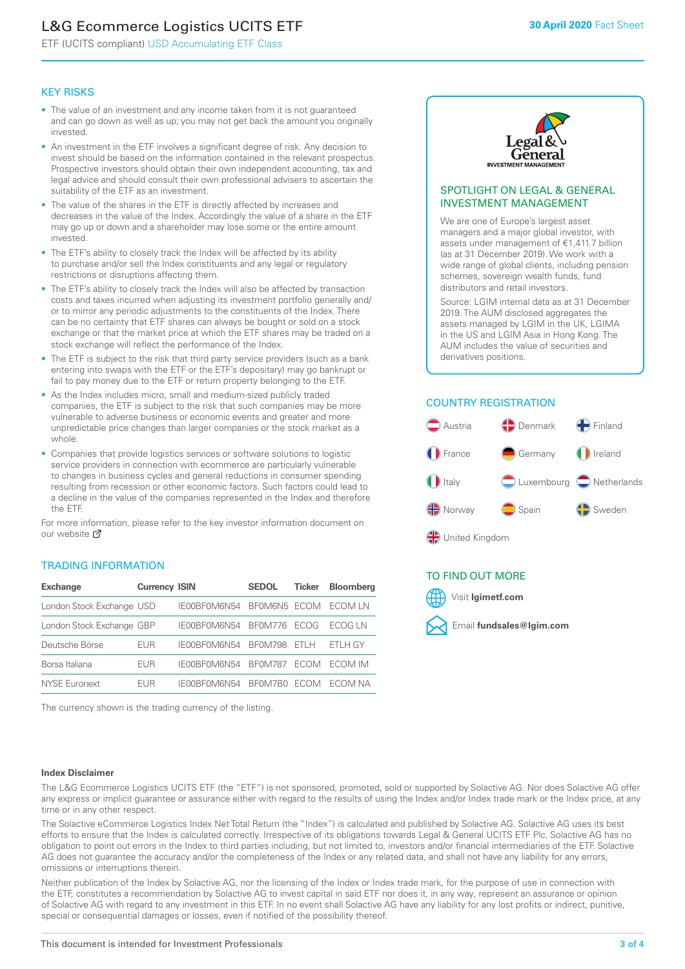### L&G Ecommerce Logistics UCITS ETF

ETF (UCITS compliant) USD Accumulating ETF Class

### KEY RISKS

- The value of an investment and any income taken from it is not guaranteed and can go down as well as up; you may not get back the amount you originally invested.
- An investment in the ETF involves a significant degree of risk. Any decision to invest should be based on the information contained in the relevant prospectus. Prospective investors should obtain their own independent accounting, tax and legal advice and should consult their own professional advisers to ascertain the suitability of the ETF as an investment.
- The value of the shares in the ETF is directly affected by increases and decreases in the value of the Index. Accordingly the value of a share in the ETF may go up or down and a shareholder may lose some or the entire amount invested.
- The ETF's ability to closely track the Index will be affected by its ability to purchase and/or sell the Index constituents and any legal or regulatory restrictions or disruptions affecting them.
- The ETF's ability to closely track the Index will also be affected by transaction costs and taxes incurred when adjusting its investment portfolio generally and/ or to mirror any periodic adjustments to the constituents of the Index. There can be no certainty that ETF shares can always be bought or sold on a stock exchange or that the market price at which the ETF shares may be traded on a stock exchange will reflect the performance of the Index.
- The ETF is subject to the risk that third party service providers (such as a bank entering into swaps with the ETF or the ETF's depositary) may go bankrupt or fail to pay money due to the ETF or return property belonging to the ETF.
- As the Index includes micro, small and medium-sized publicly traded companies, the ETF is subject to the risk that such companies may be more vulnerable to adverse business or economic events and greater and more unpredictable price changes than larger companies or the stock market as a whole.
- Companies that provide logistics services or software solutions to logistic service providers in connection with ecommerce are particularly vulnerable to changes in business cycles and general reductions in consumer spending resulting from recession or other economic factors. Such factors could lead to a decline in the value of the companies represented in the Index and therefore the ETF.

For more information, please refer to the key investor information document on our website **Z** 

### TRADING INFORMATION

| <b>Exchange</b>           | <b>Currency ISIN</b> |              | <b>SEDOL</b>   | <b>Ticker</b> | Bloomberg |
|---------------------------|----------------------|--------------|----------------|---------------|-----------|
| London Stock Exchange USD |                      | IE00BF0M6N54 | BFOM6N5 ECOM   |               | ECOM LN   |
| London Stock Exchange GBP |                      | IE00BF0M6N54 | <b>BF0M776</b> | <b>FCOG</b>   | FCOG IN   |
| Deutsche Börse            | EUR                  | IE00BF0M6N54 | <b>BF0M798</b> | FTI H         | ETLH GY   |
| Borsa Italiana            | <b>FUR</b>           | IE00BF0M6N54 | <b>BF0M787</b> | <b>FCOM</b>   | ECOM IM   |
| NYSE Euronext             | <b>FUR</b>           | IF00BF0M6N54 | BF0M7B0        | ECOM.         | FCOM NA   |

The currency shown is the trading currency of the listing.



### SPOTLIGHT ON LEGAL & GENERAL INVESTMENT MANAGEMENT

We are one of Europe's largest asset managers and a major global investor, with assets under management of €1,411.7 billion (as at 31 December 2019). We work with a wide range of global clients, including pension schemes, sovereign wealth funds, fund distributors and retail investors.

Source: LGIM internal data as at 31 December 2019. The AUM disclosed aggregates the assets managed by LGIM in the UK, LGIMA in the US and LGIM Asia in Hong Kong. The AUM includes the value of securities and derivatives positions.

### COUNTRY REGISTRATION



### TO FIND OUT MORE



#### **Index Disclaimer**

The L&G Ecommerce Logistics UCITS ETF (the "ETF") is not sponsored, promoted, sold or supported by Solactive AG. Nor does Solactive AG offer any express or implicit guarantee or assurance either with regard to the results of using the Index and/or Index trade mark or the Index price, at any time or in any other respect.

The Solactive eCommerce Logistics Index Net Total Return (the "Index") is calculated and published by Solactive AG. Solactive AG uses its best efforts to ensure that the Index is calculated correctly. Irrespective of its obligations towards Legal & General UCITS ETF Plc, Solactive AG has no obligation to point out errors in the Index to third parties including, but not limited to, investors and/or financial intermediaries of the ETF. Solactive AG does not guarantee the accuracy and/or the completeness of the Index or any related data, and shall not have any liability for any errors, omissions or interruptions therein.

Neither publication of the Index by Solactive AG, nor the licensing of the Index or Index trade mark, for the purpose of use in connection with the ETF, constitutes a recommendation by Solactive AG to invest capital in said ETF nor does it, in any way, represent an assurance or opinion of Solactive AG with regard to any investment in this ETF. In no event shall Solactive AG have any liability for any lost profits or indirect, punitive, special or consequential damages or losses, even if notified of the possibility thereof.